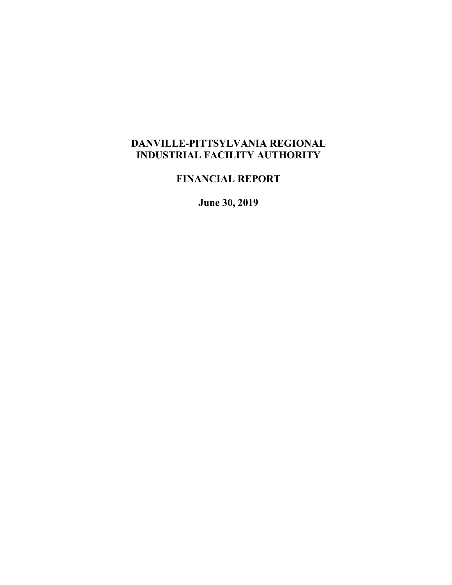# **DANVILLE-PITTSYLVANIA REGIONAL INDUSTRIAL FACILITY AUTHORITY**

**FINANCIAL REPORT**

**June 30, 2019**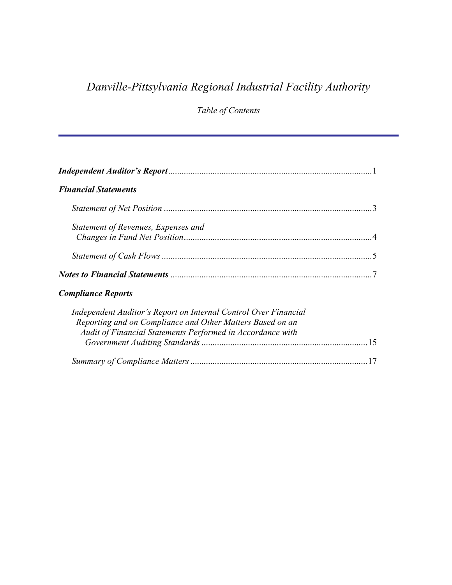# *Danville-Pittsylvania Regional Industrial Facility Authority*

*Table of Contents*

| <b>Financial Statements</b>                                                                                                                                                                |
|--------------------------------------------------------------------------------------------------------------------------------------------------------------------------------------------|
|                                                                                                                                                                                            |
| Statement of Revenues, Expenses and                                                                                                                                                        |
|                                                                                                                                                                                            |
|                                                                                                                                                                                            |
| <b>Compliance Reports</b>                                                                                                                                                                  |
| Independent Auditor's Report on Internal Control Over Financial<br>Reporting and on Compliance and Other Matters Based on an<br>Audit of Financial Statements Performed in Accordance with |
|                                                                                                                                                                                            |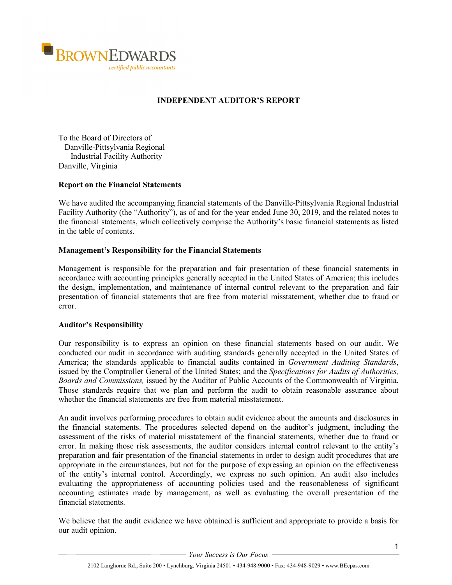

# **INDEPENDENT AUDITOR'S REPORT**

To the Board of Directors of Danville-Pittsylvania Regional Industrial Facility Authority Danville, Virginia

#### **Report on the Financial Statements**

We have audited the accompanying financial statements of the Danville-Pittsylvania Regional Industrial Facility Authority (the "Authority"), as of and for the year ended June 30, 2019, and the related notes to the financial statements, which collectively comprise the Authority's basic financial statements as listed in the table of contents.

#### **Management's Responsibility for the Financial Statements**

Management is responsible for the preparation and fair presentation of these financial statements in accordance with accounting principles generally accepted in the United States of America; this includes the design, implementation, and maintenance of internal control relevant to the preparation and fair presentation of financial statements that are free from material misstatement, whether due to fraud or error.

#### **Auditor's Responsibility**

Our responsibility is to express an opinion on these financial statements based on our audit. We conducted our audit in accordance with auditing standards generally accepted in the United States of America; the standards applicable to financial audits contained in *Government Auditing Standards*, issued by the Comptroller General of the United States; and the *Specifications for Audits of Authorities, Boards and Commissions,* issued by the Auditor of Public Accounts of the Commonwealth of Virginia. Those standards require that we plan and perform the audit to obtain reasonable assurance about whether the financial statements are free from material misstatement.

An audit involves performing procedures to obtain audit evidence about the amounts and disclosures in the financial statements. The procedures selected depend on the auditor's judgment, including the assessment of the risks of material misstatement of the financial statements, whether due to fraud or error. In making those risk assessments, the auditor considers internal control relevant to the entity's preparation and fair presentation of the financial statements in order to design audit procedures that are appropriate in the circumstances, but not for the purpose of expressing an opinion on the effectiveness of the entity's internal control. Accordingly, we express no such opinion. An audit also includes evaluating the appropriateness of accounting policies used and the reasonableness of significant accounting estimates made by management, as well as evaluating the overall presentation of the financial statements.

We believe that the audit evidence we have obtained is sufficient and appropriate to provide a basis for our audit opinion.

*Your Success is Our Focus*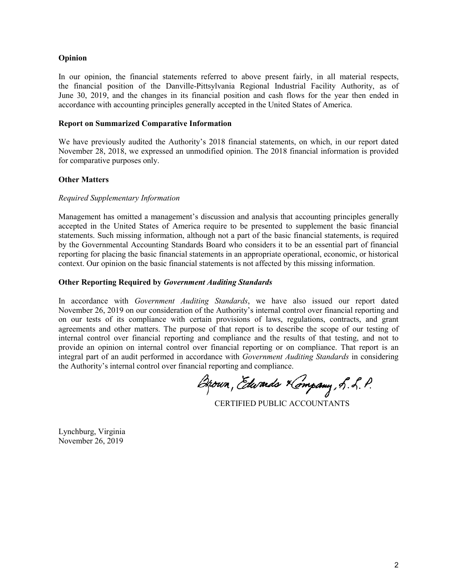#### **Opinion**

In our opinion, the financial statements referred to above present fairly, in all material respects, the financial position of the Danville-Pittsylvania Regional Industrial Facility Authority, as of June 30, 2019, and the changes in its financial position and cash flows for the year then ended in accordance with accounting principles generally accepted in the United States of America.

#### **Report on Summarized Comparative Information**

We have previously audited the Authority's 2018 financial statements, on which, in our report dated November 28, 2018, we expressed an unmodified opinion. The 2018 financial information is provided for comparative purposes only.

#### **Other Matters**

#### *Required Supplementary Information*

Management has omitted a management's discussion and analysis that accounting principles generally accepted in the United States of America require to be presented to supplement the basic financial statements. Such missing information, although not a part of the basic financial statements, is required by the Governmental Accounting Standards Board who considers it to be an essential part of financial reporting for placing the basic financial statements in an appropriate operational, economic, or historical context. Our opinion on the basic financial statements is not affected by this missing information.

#### **Other Reporting Required by** *Government Auditing Standards*

In accordance with *Government Auditing Standards*, we have also issued our report dated November 26, 2019 on our consideration of the Authority's internal control over financial reporting and on our tests of its compliance with certain provisions of laws, regulations, contracts, and grant agreements and other matters. The purpose of that report is to describe the scope of our testing of internal control over financial reporting and compliance and the results of that testing, and not to provide an opinion on internal control over financial reporting or on compliance. That report is an integral part of an audit performed in accordance with *Government Auditing Standards* in considering the Authority's internal control over financial reporting and compliance.

Brown, Edwards & Company, S. L. P.

CERTIFIED PUBLIC ACCOUNTANTS

Lynchburg, Virginia November 26, 2019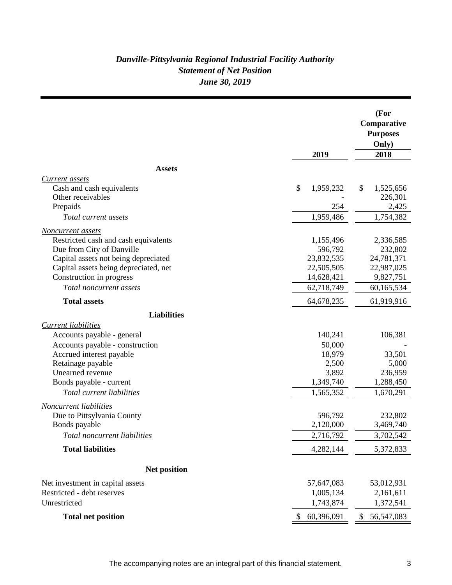# *Danville-Pittsylvania Regional Industrial Facility Authority June 30, 2019 Statement of Net Position*

|                                                    | 2019             | (For<br>Comparative<br><b>Purposes</b><br>Only)<br>2018 |
|----------------------------------------------------|------------------|---------------------------------------------------------|
|                                                    |                  |                                                         |
| <b>Assets</b>                                      |                  |                                                         |
| <b>Current</b> assets<br>Cash and cash equivalents | \$<br>1,959,232  | 1,525,656<br>\$                                         |
| Other receivables                                  |                  | 226,301                                                 |
| Prepaids                                           | 254              | 2,425                                                   |
| Total current assets                               | 1,959,486        | 1,754,382                                               |
| <b>Noncurrent</b> assets                           |                  |                                                         |
| Restricted cash and cash equivalents               | 1,155,496        | 2,336,585                                               |
| Due from City of Danville                          | 596,792          | 232,802                                                 |
| Capital assets not being depreciated               | 23,832,535       | 24,781,371                                              |
| Capital assets being depreciated, net              | 22,505,505       | 22,987,025                                              |
| Construction in progress                           | 14,628,421       | 9,827,751                                               |
| Total noncurrent assets                            | 62,718,749       | 60,165,534                                              |
| <b>Total assets</b>                                | 64, 678, 235     | 61,919,916                                              |
| <b>Liabilities</b>                                 |                  |                                                         |
| <b>Current liabilities</b>                         |                  |                                                         |
| Accounts payable - general                         | 140,241          | 106,381                                                 |
| Accounts payable - construction                    | 50,000           |                                                         |
| Accrued interest payable                           | 18,979           | 33,501                                                  |
| Retainage payable                                  | 2,500            | 5,000                                                   |
| Unearned revenue                                   | 3,892            | 236,959                                                 |
| Bonds payable - current                            | 1,349,740        | 1,288,450                                               |
| Total current liabilities                          | 1,565,352        | 1,670,291                                               |
| Noncurrent liabilities                             |                  |                                                         |
| Due to Pittsylvania County                         | 596,792          | 232,802                                                 |
| Bonds payable                                      | 2,120,000        | 3,469,740                                               |
| Total noncurrent liabilities                       | 2,716,792        | 3,702,542                                               |
| <b>Total liabilities</b>                           | 4,282,144        | 5,372,833                                               |
| Net position                                       |                  |                                                         |
| Net investment in capital assets                   | 57,647,083       | 53,012,931                                              |
| Restricted - debt reserves                         | 1,005,134        | 2,161,611                                               |
| Unrestricted                                       | 1,743,874        | 1,372,541                                               |
| <b>Total net position</b>                          | 60,396,091<br>\$ | 56,547,083<br>$\mathcal{S}$                             |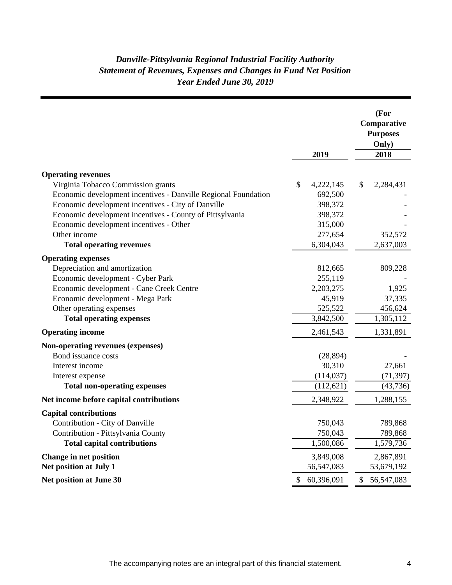# *Year Ended June 30, 2019 Danville-Pittsylvania Regional Industrial Facility Authority Statement of Revenues, Expenses and Changes in Fund Net Position*

|                                                                | 2019             | (For<br>Comparative<br><b>Purposes</b><br>Only)<br>2018 |  |  |
|----------------------------------------------------------------|------------------|---------------------------------------------------------|--|--|
| <b>Operating revenues</b>                                      |                  |                                                         |  |  |
| Virginia Tobacco Commission grants                             | \$<br>4,222,145  | \$<br>2,284,431                                         |  |  |
| Economic development incentives - Danville Regional Foundation | 692,500          |                                                         |  |  |
| Economic development incentives - City of Danville             | 398,372          |                                                         |  |  |
| Economic development incentives - County of Pittsylvania       | 398,372          |                                                         |  |  |
| Economic development incentives - Other                        | 315,000          |                                                         |  |  |
| Other income                                                   | 277,654          | 352,572                                                 |  |  |
| <b>Total operating revenues</b>                                | 6,304,043        | 2,637,003                                               |  |  |
| <b>Operating expenses</b>                                      |                  |                                                         |  |  |
| Depreciation and amortization                                  | 812,665          | 809,228                                                 |  |  |
| Economic development - Cyber Park                              | 255,119          |                                                         |  |  |
| Economic development - Cane Creek Centre                       | 2,203,275        | 1,925                                                   |  |  |
| Economic development - Mega Park                               | 45,919           | 37,335                                                  |  |  |
| Other operating expenses                                       | 525,522          | 456,624                                                 |  |  |
| <b>Total operating expenses</b>                                | 3,842,500        | 1,305,112                                               |  |  |
| <b>Operating income</b>                                        | 2,461,543        | 1,331,891                                               |  |  |
| Non-operating revenues (expenses)                              |                  |                                                         |  |  |
| Bond issuance costs                                            | (28, 894)        |                                                         |  |  |
| Interest income                                                | 30,310           | 27,661                                                  |  |  |
| Interest expense                                               | (114, 037)       | (71, 397)                                               |  |  |
| <b>Total non-operating expenses</b>                            | (112, 621)       | (43,736)                                                |  |  |
| Net income before capital contributions                        | 2,348,922        | 1,288,155                                               |  |  |
| <b>Capital contributions</b>                                   |                  |                                                         |  |  |
| Contribution - City of Danville                                | 750,043          | 789,868                                                 |  |  |
| Contribution - Pittsylvania County                             | 750,043          | 789,868                                                 |  |  |
| <b>Total capital contributions</b>                             | 1,500,086        | 1,579,736                                               |  |  |
| <b>Change in net position</b>                                  | 3,849,008        | 2,867,891                                               |  |  |
| Net position at July 1                                         | 56,547,083       | 53,679,192                                              |  |  |
| Net position at June 30                                        | \$<br>60,396,091 | \$<br>56,547,083                                        |  |  |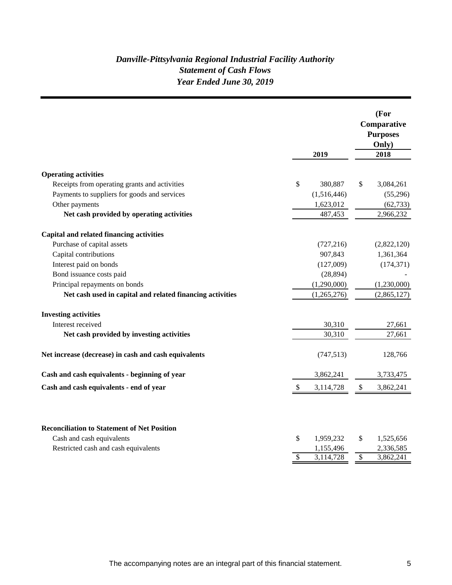# *Danville-Pittsylvania Regional Industrial Facility Authority Year Ended June 30, 2019 Statement of Cash Flows*

|                                                           |              | 2019        | (For<br>Comparative<br><b>Purposes</b><br>Only)<br>2018 |
|-----------------------------------------------------------|--------------|-------------|---------------------------------------------------------|
|                                                           |              |             |                                                         |
| <b>Operating activities</b>                               |              |             |                                                         |
| Receipts from operating grants and activities             | \$           | 380,887     | \$<br>3,084,261                                         |
| Payments to suppliers for goods and services              |              | (1,516,446) | (55,296)                                                |
| Other payments                                            |              | 1,623,012   | (62, 733)                                               |
| Net cash provided by operating activities                 |              | 487,453     | 2,966,232                                               |
| Capital and related financing activities                  |              |             |                                                         |
| Purchase of capital assets                                |              | (727, 216)  | (2,822,120)                                             |
| Capital contributions                                     |              | 907,843     | 1,361,364                                               |
| Interest paid on bonds                                    |              | (127,009)   | (174, 371)                                              |
| Bond issuance costs paid                                  |              | (28, 894)   |                                                         |
| Principal repayments on bonds                             |              | (1,290,000) | (1,230,000)                                             |
| Net cash used in capital and related financing activities |              | (1,265,276) | (2,865,127)                                             |
| <b>Investing activities</b>                               |              |             |                                                         |
| Interest received                                         |              | 30,310      | 27,661                                                  |
| Net cash provided by investing activities                 |              | 30,310      |                                                         |
|                                                           |              |             | 27,661                                                  |
| Net increase (decrease) in cash and cash equivalents      |              | (747, 513)  | 128,766                                                 |
| Cash and cash equivalents - beginning of year             |              | 3,862,241   | 3,733,475                                               |
| Cash and cash equivalents - end of year                   | <sup>8</sup> | 3,114,728   | \$<br>3,862,241                                         |
| <b>Reconciliation to Statement of Net Position</b>        |              |             |                                                         |
| Cash and cash equivalents                                 | \$           | 1,959,232   | \$<br>1,525,656                                         |
| Restricted cash and cash equivalents                      |              | 1,155,496   | 2,336,585                                               |
|                                                           | \$           | 3,114,728   | \$<br>3,862,241                                         |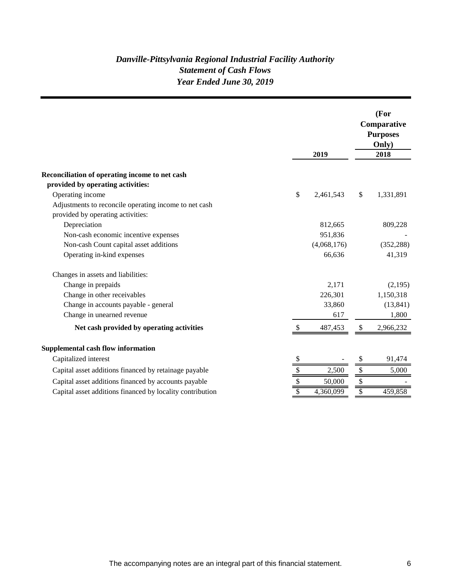# *Danville-Pittsylvania Regional Industrial Facility Authority Year Ended June 30, 2019 Statement of Cash Flows*

|                                                           |              | 2019        |    | 2018       |
|-----------------------------------------------------------|--------------|-------------|----|------------|
| Reconciliation of operating income to net cash            |              |             |    |            |
| provided by operating activities:                         |              |             |    |            |
| Operating income                                          | $\mathbb{S}$ | 2,461,543   | \$ | 1,331,891  |
| Adjustments to reconcile operating income to net cash     |              |             |    |            |
| provided by operating activities:                         |              |             |    |            |
| Depreciation                                              |              | 812,665     |    | 809,228    |
| Non-cash economic incentive expenses                      |              | 951,836     |    |            |
| Non-cash Count capital asset additions                    |              | (4,068,176) |    | (352, 288) |
| Operating in-kind expenses                                |              | 66,636      |    | 41,319     |
| Changes in assets and liabilities:                        |              |             |    |            |
| Change in prepaids                                        |              | 2,171       |    | (2,195)    |
| Change in other receivables                               |              | 226,301     |    | 1,150,318  |
| Change in accounts payable - general                      |              | 33,860      |    | (13, 841)  |
| Change in unearned revenue                                |              | 617         |    | 1,800      |
| Net cash provided by operating activities                 | \$           | 487,453     | \$ | 2,966,232  |
| <b>Supplemental cash flow information</b>                 |              |             |    |            |
| Capitalized interest                                      | \$           |             | \$ | 91,474     |
| Capital asset additions financed by retainage payable     | \$           | 2,500       | \$ | 5,000      |
| Capital asset additions financed by accounts payable      | \$           | 50,000      | \$ |            |
| Capital asset additions financed by locality contribution | \$           | 4,360,099   | \$ | 459,858    |
|                                                           |              |             |    |            |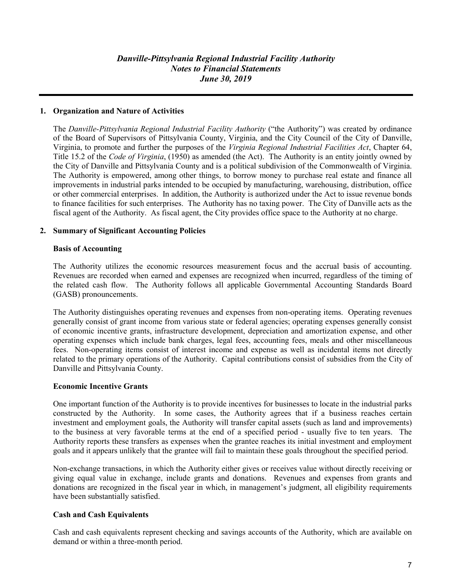## **1. Organization and Nature of Activities**

The *Danville-Pittsylvania Regional Industrial Facility Authority* ("the Authority") was created by ordinance of the Board of Supervisors of Pittsylvania County, Virginia, and the City Council of the City of Danville, Virginia, to promote and further the purposes of the *Virginia Regional Industrial Facilities Act*, Chapter 64, Title 15.2 of the *Code of Virginia*, (1950) as amended (the Act). The Authority is an entity jointly owned by the City of Danville and Pittsylvania County and is a political subdivision of the Commonwealth of Virginia. The Authority is empowered, among other things, to borrow money to purchase real estate and finance all improvements in industrial parks intended to be occupied by manufacturing, warehousing, distribution, office or other commercial enterprises. In addition, the Authority is authorized under the Act to issue revenue bonds to finance facilities for such enterprises. The Authority has no taxing power. The City of Danville acts as the fiscal agent of the Authority. As fiscal agent, the City provides office space to the Authority at no charge.

## **2. Summary of Significant Accounting Policies**

#### **Basis of Accounting**

The Authority utilizes the economic resources measurement focus and the accrual basis of accounting. Revenues are recorded when earned and expenses are recognized when incurred, regardless of the timing of the related cash flow. The Authority follows all applicable Governmental Accounting Standards Board (GASB) pronouncements.

The Authority distinguishes operating revenues and expenses from non-operating items. Operating revenues generally consist of grant income from various state or federal agencies; operating expenses generally consist of economic incentive grants, infrastructure development, depreciation and amortization expense, and other operating expenses which include bank charges, legal fees, accounting fees, meals and other miscellaneous fees. Non-operating items consist of interest income and expense as well as incidental items not directly related to the primary operations of the Authority. Capital contributions consist of subsidies from the City of Danville and Pittsylvania County.

#### **Economic Incentive Grants**

One important function of the Authority is to provide incentives for businesses to locate in the industrial parks constructed by the Authority. In some cases, the Authority agrees that if a business reaches certain investment and employment goals, the Authority will transfer capital assets (such as land and improvements) to the business at very favorable terms at the end of a specified period - usually five to ten years. The Authority reports these transfers as expenses when the grantee reaches its initial investment and employment goals and it appears unlikely that the grantee will fail to maintain these goals throughout the specified period.

Non-exchange transactions, in which the Authority either gives or receives value without directly receiving or giving equal value in exchange, include grants and donations. Revenues and expenses from grants and donations are recognized in the fiscal year in which, in management's judgment, all eligibility requirements have been substantially satisfied.

# **Cash and Cash Equivalents**

Cash and cash equivalents represent checking and savings accounts of the Authority, which are available on demand or within a three-month period.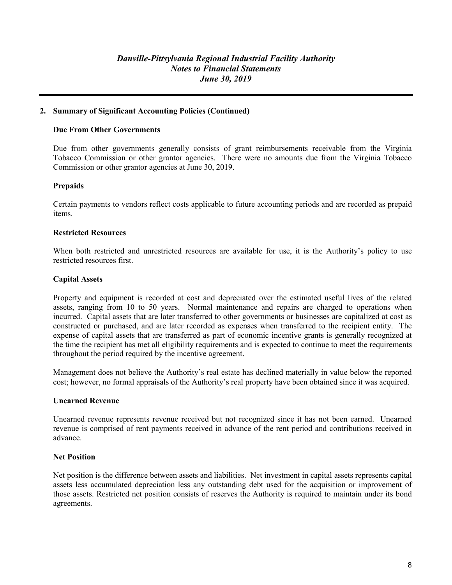#### **2. Summary of Significant Accounting Policies (Continued)**

#### **Due From Other Governments**

Due from other governments generally consists of grant reimbursements receivable from the Virginia Tobacco Commission or other grantor agencies. There were no amounts due from the Virginia Tobacco Commission or other grantor agencies at June 30, 2019.

## **Prepaids**

Certain payments to vendors reflect costs applicable to future accounting periods and are recorded as prepaid items.

#### **Restricted Resources**

When both restricted and unrestricted resources are available for use, it is the Authority's policy to use restricted resources first.

#### **Capital Assets**

Property and equipment is recorded at cost and depreciated over the estimated useful lives of the related assets, ranging from 10 to 50 years. Normal maintenance and repairs are charged to operations when incurred. Capital assets that are later transferred to other governments or businesses are capitalized at cost as constructed or purchased, and are later recorded as expenses when transferred to the recipient entity. The expense of capital assets that are transferred as part of economic incentive grants is generally recognized at the time the recipient has met all eligibility requirements and is expected to continue to meet the requirements throughout the period required by the incentive agreement.

Management does not believe the Authority's real estate has declined materially in value below the reported cost; however, no formal appraisals of the Authority's real property have been obtained since it was acquired.

#### **Unearned Revenue**

Unearned revenue represents revenue received but not recognized since it has not been earned. Unearned revenue is comprised of rent payments received in advance of the rent period and contributions received in advance.

#### **Net Position**

Net position is the difference between assets and liabilities. Net investment in capital assets represents capital assets less accumulated depreciation less any outstanding debt used for the acquisition or improvement of those assets. Restricted net position consists of reserves the Authority is required to maintain under its bond agreements.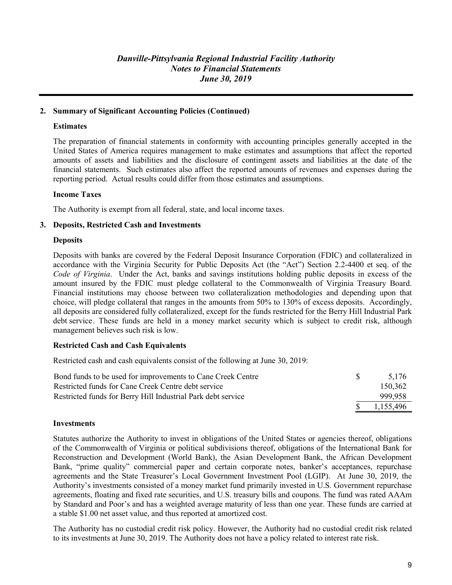#### **2. Summary of Significant Accounting Policies (Continued)**

## **Estimates**

The preparation of financial statements in conformity with accounting principles generally accepted in the United States of America requires management to make estimates and assumptions that affect the reported amounts of assets and liabilities and the disclosure of contingent assets and liabilities at the date of the financial statements. Such estimates also affect the reported amounts of revenues and expenses during the reporting period. Actual results could differ from those estimates and assumptions.

#### **Income Taxes**

The Authority is exempt from all federal, state, and local income taxes.

#### **3. Deposits, Restricted Cash and Investments**

#### **Deposits**

Deposits with banks are covered by the Federal Deposit Insurance Corporation (FDIC) and collateralized in accordance with the Virginia Security for Public Deposits Act (the "Act") Section 2.2-4400 et seq. of the *Code of Virginia*. Under the Act, banks and savings institutions holding public deposits in excess of the amount insured by the FDIC must pledge collateral to the Commonwealth of Virginia Treasury Board. Financial institutions may choose between two collateralization methodologies and depending upon that choice, will pledge collateral that ranges in the amounts from 50% to 130% of excess deposits. Accordingly, all deposits are considered fully collateralized, except for the funds restricted for the Berry Hill Industrial Park debt service. These funds are held in a money market security which is subject to credit risk, although management believes such risk is low.

# **Restricted Cash and Cash Equivalents**

Restricted cash and cash equivalents consist of the following at June 30, 2019:

| Bond funds to be used for improvements to Cane Creek Centre  | S. | 5.176     |
|--------------------------------------------------------------|----|-----------|
| Restricted funds for Cane Creek Centre debt service          |    | 150,362   |
| Restricted funds for Berry Hill Industrial Park debt service |    | 999.958   |
|                                                              |    | 1,155,496 |

#### **Investments**

Statutes authorize the Authority to invest in obligations of the United States or agencies thereof, obligations of the Commonwealth of Virginia or political subdivisions thereof, obligations of the International Bank for Reconstruction and Development (World Bank), the Asian Development Bank, the African Development Bank, "prime quality" commercial paper and certain corporate notes, banker's acceptances, repurchase agreements and the State Treasurer's Local Government Investment Pool (LGIP). At June 30, 2019, the Authority's investments consisted of a money market fund primarily invested in U.S. Government repurchase agreements, floating and fixed rate securities, and U.S. treasury bills and coupons. The fund was rated AAAm by Standard and Poor's and has a weighted average maturity of less than one year. These funds are carried at a stable \$1.00 net asset value, and thus reported at amortized cost.

The Authority has no custodial credit risk policy. However, the Authority had no custodial credit risk related to its investments at June 30, 2019. The Authority does not have a policy related to interest rate risk.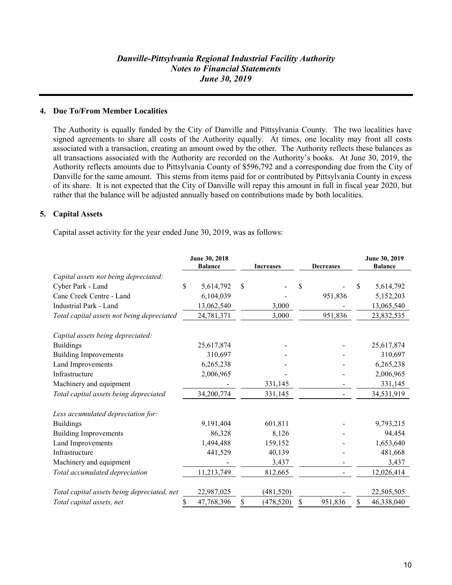#### **4. Due To/From Member Localities**

The Authority is equally funded by the City of Danville and Pittsylvania County. The two localities have signed agreements to share all costs of the Authority equally. At times, one locality may front all costs associated with a transaction, creating an amount owed by the other. The Authority reflects these balances as all transactions associated with the Authority are recorded on the Authority's books. At June 30, 2019, the Authority reflects amounts due to Pittsylvania County of \$596,792 and a corresponding due from the City of Danville for the same amount. This stems from items paid for or contributed by Pittsylvania County in excess of its share. It is not expected that the City of Danville will repay this amount in full in fiscal year 2020, but rather that the balance will be adjusted annually based on contributions made by both localities.

#### **5. Capital Assets**

Capital asset activity for the year ended June 30, 2019, was as follows:

|                                             | June 30, 2018<br><b>Balance</b> | <b>Increases</b> | <b>Decreases</b> | June 30, 2019<br><b>Balance</b> |
|---------------------------------------------|---------------------------------|------------------|------------------|---------------------------------|
| Capital assets not being depreciated:       |                                 |                  |                  |                                 |
| Cyber Park - Land                           | \$<br>5,614,792                 | \$               | \$               | \$<br>5,614,792                 |
| Cane Creek Centre - Land                    | 6,104,039                       |                  | 951,836          | 5,152,203                       |
| Industrial Park - Land                      | 13,062,540                      | 3,000            |                  | 13,065,540                      |
| Total capital assets not being depreciated  | 24,781,371                      | 3,000            | 951,836          | 23,832,535                      |
| Capital assets being depreciated:           |                                 |                  |                  |                                 |
| <b>Buildings</b>                            | 25,617,874                      |                  |                  | 25,617,874                      |
| <b>Building Improvements</b>                | 310,697                         |                  |                  | 310,697                         |
| Land Improvements                           | 6,265,238                       |                  |                  | 6,265,238                       |
| Infrastructure                              | 2,006,965                       |                  |                  | 2,006,965                       |
| Machinery and equipment                     |                                 | 331,145          |                  | 331,145                         |
| Total capital assets being depreciated      | 34,200,774                      | 331,145          |                  | 34,531,919                      |
| Less accumulated depreciation for:          |                                 |                  |                  |                                 |
| <b>Buildings</b>                            | 9,191,404                       | 601,811          |                  | 9,793,215                       |
| <b>Building Improvements</b>                | 86,328                          | 8,126            |                  | 94,454                          |
| Land Improvements                           | 1,494,488                       | 159,152          |                  | 1,653,640                       |
| Infrastructure                              | 441,529                         | 40,139           |                  | 481,668                         |
| Machinery and equipment                     |                                 | 3,437            |                  | 3,437                           |
| Total accumulated depreciation              | 11,213,749                      | 812,665          |                  | 12,026,414                      |
| Total capital assets being depreciated, net | 22,987,025                      | (481, 520)       |                  | 22,505,505                      |
| Total capital assets, net                   | \$<br>47,768,396                | \$<br>(478, 520) | \$<br>951,836    | \$<br>46,338,040                |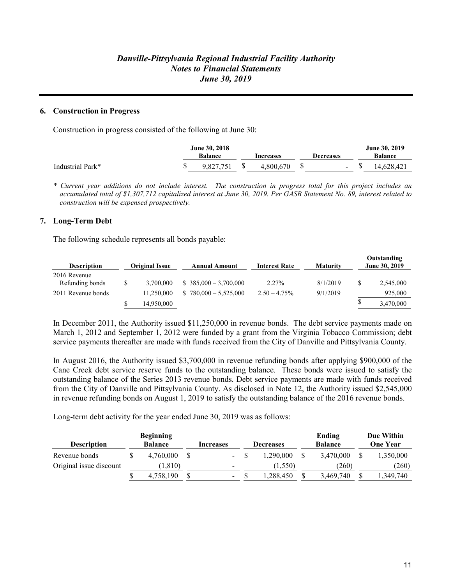#### **6. Construction in Progress**

Construction in progress consisted of the following at June 30:

|                  | June 30, 2018  |  |                  |                  | June 30, 2019  |
|------------------|----------------|--|------------------|------------------|----------------|
|                  | <b>Balance</b> |  | <b>Increases</b> | <b>Decreases</b> | <b>Balance</b> |
| Industrial Park* | 9,827,751      |  | 4,800,670        | $\sim$           | 14,628,421     |

*\* Current year additions do not include interest. The construction in progress total for this project includes an accumulated total of \$1,307,712 capitalized interest at June 30, 2019. Per GASB Statement No. 89, interest related to construction will be expensed prospectively.*

#### **7. Long-Term Debt**

The following schedule represents all bonds payable:

| <b>Description</b>              | Original Issue |            | <b>Annual Amount</b>   | <b>Interest Rate</b> | <b>Maturity</b> | Outstanding<br>June 30, 2019 |           |  |
|---------------------------------|----------------|------------|------------------------|----------------------|-----------------|------------------------------|-----------|--|
| 2016 Revenue<br>Refunding bonds | \$             | 3.700,000  | $$385,000 - 3,700,000$ | $2.27\%$             | 8/1/2019        |                              | 2,545,000 |  |
| 2011 Revenue bonds              |                | 11,250,000 | $780,000 - 5,525,000$  | $2.50 - 4.75\%$      | 9/1/2019        |                              | 925,000   |  |
|                                 |                | 14,950,000 |                        |                      |                 | S                            | 3,470,000 |  |

In December 2011, the Authority issued \$11,250,000 in revenue bonds. The debt service payments made on March 1, 2012 and September 1, 2012 were funded by a grant from the Virginia Tobacco Commission; debt service payments thereafter are made with funds received from the City of Danville and Pittsylvania County.

In August 2016, the Authority issued \$3,700,000 in revenue refunding bonds after applying \$900,000 of the Cane Creek debt service reserve funds to the outstanding balance. These bonds were issued to satisfy the outstanding balance of the Series 2013 revenue bonds. Debt service payments are made with funds received from the City of Danville and Pittsylvania County. As disclosed in Note 12, the Authority issued \$2,545,000 in revenue refunding bonds on August 1, 2019 to satisfy the outstanding balance of the 2016 revenue bonds.

Long-term debt activity for the year ended June 30, 2019 was as follows:

| <b>Description</b>      | <b>Beginning</b><br><b>Balance</b> | Increases                |       | <b>Decreases</b> | Ending<br><b>Balance</b> | Due Within<br><b>One Year</b> |
|-------------------------|------------------------------------|--------------------------|-------|------------------|--------------------------|-------------------------------|
| Revenue bonds           | 4.760,000                          |                          | $- S$ | 1,290,000        | 3.470.000                | 1,350,000                     |
| Original issue discount | (1, 810)                           |                          |       | (1.550)          | (260)                    | (260)                         |
|                         | 4,758,190                          | $\overline{\phantom{0}}$ |       | 1,288,450        | 3,469,740                | 1,349,740                     |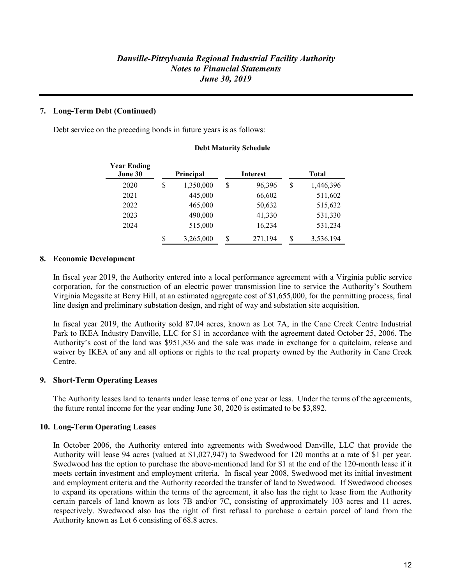#### **7. Long-Term Debt (Continued)**

Debt service on the preceding bonds in future years is as follows:

| <b>Year Ending</b><br>June 30 |   | <b>Principal</b> |    | Interest |    | <b>Total</b> |
|-------------------------------|---|------------------|----|----------|----|--------------|
| 2020                          | S | 1,350,000        | \$ | 96,396   | \$ | 1,446,396    |
| 2021                          |   | 445,000          |    | 66,602   |    | 511,602      |
| 2022                          |   | 465,000          |    | 50,632   |    | 515,632      |
| 2023                          |   | 490,000          |    | 41,330   |    | 531,330      |
| 2024                          |   | 515,000          |    | 16,234   |    | 531,234      |
|                               | S | 3,265,000        | S  | 271,194  | S  | 3,536,194    |

## **Debt Maturity Schedule**

#### **8. Economic Development**

In fiscal year 2019, the Authority entered into a local performance agreement with a Virginia public service corporation, for the construction of an electric power transmission line to service the Authority's Southern Virginia Megasite at Berry Hill, at an estimated aggregate cost of \$1,655,000, for the permitting process, final line design and preliminary substation design, and right of way and substation site acquisition.

In fiscal year 2019, the Authority sold 87.04 acres, known as Lot 7A, in the Cane Creek Centre Industrial Park to IKEA Industry Danville, LLC for \$1 in accordance with the agreement dated October 25, 2006. The Authority's cost of the land was \$951,836 and the sale was made in exchange for a quitclaim, release and waiver by IKEA of any and all options or rights to the real property owned by the Authority in Cane Creek Centre.

#### **9. Short-Term Operating Leases**

The Authority leases land to tenants under lease terms of one year or less. Under the terms of the agreements, the future rental income for the year ending June 30, 2020 is estimated to be \$3,892.

#### **10. Long-Term Operating Leases**

In October 2006, the Authority entered into agreements with Swedwood Danville, LLC that provide the Authority will lease 94 acres (valued at \$1,027,947) to Swedwood for 120 months at a rate of \$1 per year. Swedwood has the option to purchase the above-mentioned land for \$1 at the end of the 120-month lease if it meets certain investment and employment criteria. In fiscal year 2008, Swedwood met its initial investment and employment criteria and the Authority recorded the transfer of land to Swedwood. If Swedwood chooses to expand its operations within the terms of the agreement, it also has the right to lease from the Authority certain parcels of land known as lots 7B and/or 7C, consisting of approximately 103 acres and 11 acres, respectively. Swedwood also has the right of first refusal to purchase a certain parcel of land from the Authority known as Lot 6 consisting of 68.8 acres.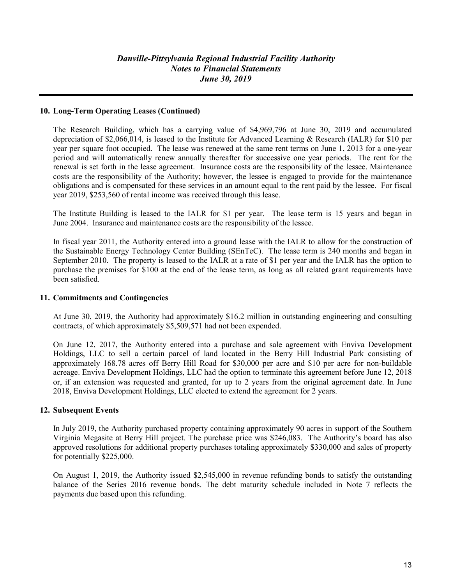#### **10. Long-Term Operating Leases (Continued)**

The Research Building, which has a carrying value of \$4,969,796 at June 30, 2019 and accumulated depreciation of \$2,066,014, is leased to the Institute for Advanced Learning & Research (IALR) for \$10 per year per square foot occupied. The lease was renewed at the same rent terms on June 1, 2013 for a one-year period and will automatically renew annually thereafter for successive one year periods. The rent for the renewal is set forth in the lease agreement. Insurance costs are the responsibility of the lessee. Maintenance costs are the responsibility of the Authority; however, the lessee is engaged to provide for the maintenance obligations and is compensated for these services in an amount equal to the rent paid by the lessee. For fiscal year 2019, \$253,560 of rental income was received through this lease.

The Institute Building is leased to the IALR for \$1 per year. The lease term is 15 years and began in June 2004. Insurance and maintenance costs are the responsibility of the lessee.

In fiscal year 2011, the Authority entered into a ground lease with the IALR to allow for the construction of the Sustainable Energy Technology Center Building (SEnTeC). The lease term is 240 months and began in September 2010. The property is leased to the IALR at a rate of \$1 per year and the IALR has the option to purchase the premises for \$100 at the end of the lease term, as long as all related grant requirements have been satisfied.

#### **11. Commitments and Contingencies**

At June 30, 2019, the Authority had approximately \$16.2 million in outstanding engineering and consulting contracts, of which approximately \$5,509,571 had not been expended.

On June 12, 2017, the Authority entered into a purchase and sale agreement with Enviva Development Holdings, LLC to sell a certain parcel of land located in the Berry Hill Industrial Park consisting of approximately 168.78 acres off Berry Hill Road for \$30,000 per acre and \$10 per acre for non-buildable acreage. Enviva Development Holdings, LLC had the option to terminate this agreement before June 12, 2018 or, if an extension was requested and granted, for up to 2 years from the original agreement date. In June 2018, Enviva Development Holdings, LLC elected to extend the agreement for 2 years.

#### **12. Subsequent Events**

In July 2019, the Authority purchased property containing approximately 90 acres in support of the Southern Virginia Megasite at Berry Hill project. The purchase price was \$246,083. The Authority's board has also approved resolutions for additional property purchases totaling approximately \$330,000 and sales of property for potentially \$225,000.

On August 1, 2019, the Authority issued \$2,545,000 in revenue refunding bonds to satisfy the outstanding balance of the Series 2016 revenue bonds. The debt maturity schedule included in Note 7 reflects the payments due based upon this refunding.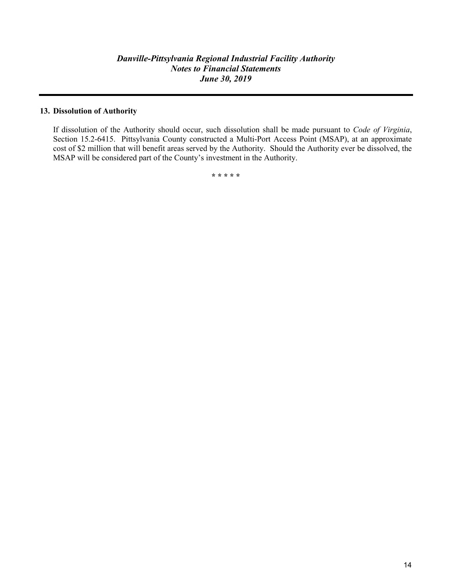#### **13. Dissolution of Authority**

If dissolution of the Authority should occur, such dissolution shall be made pursuant to *Code of Virginia*, Section 15.2-6415. Pittsylvania County constructed a Multi-Port Access Point (MSAP), at an approximate cost of \$2 million that will benefit areas served by the Authority. Should the Authority ever be dissolved, the MSAP will be considered part of the County's investment in the Authority.

**\* \* \* \* \***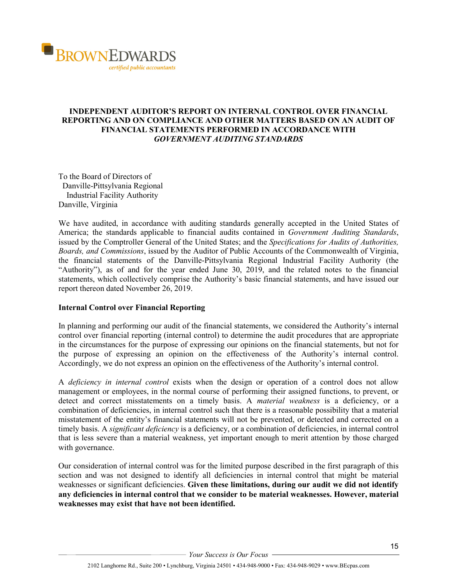

## **INDEPENDENT AUDITOR'S REPORT ON INTERNAL CONTROL OVER FINANCIAL REPORTING AND ON COMPLIANCE AND OTHER MATTERS BASED ON AN AUDIT OF FINANCIAL STATEMENTS PERFORMED IN ACCORDANCE WITH** *GOVERNMENT AUDITING STANDARDS*

To the Board of Directors of Danville-Pittsylvania Regional Industrial Facility Authority Danville, Virginia

We have audited, in accordance with auditing standards generally accepted in the United States of America; the standards applicable to financial audits contained in *Government Auditing Standards*, issued by the Comptroller General of the United States; and the *Specifications for Audits of Authorities, Boards, and Commissions*, issued by the Auditor of Public Accounts of the Commonwealth of Virginia, the financial statements of the Danville-Pittsylvania Regional Industrial Facility Authority (the "Authority"), as of and for the year ended June 30, 2019, and the related notes to the financial statements, which collectively comprise the Authority's basic financial statements, and have issued our report thereon dated November 26, 2019.

#### **Internal Control over Financial Reporting**

In planning and performing our audit of the financial statements, we considered the Authority's internal control over financial reporting (internal control) to determine the audit procedures that are appropriate in the circumstances for the purpose of expressing our opinions on the financial statements, but not for the purpose of expressing an opinion on the effectiveness of the Authority's internal control. Accordingly, we do not express an opinion on the effectiveness of the Authority's internal control.

A *deficiency in internal control* exists when the design or operation of a control does not allow management or employees, in the normal course of performing their assigned functions, to prevent, or detect and correct misstatements on a timely basis. A *material weakness* is a deficiency, or a combination of deficiencies, in internal control such that there is a reasonable possibility that a material misstatement of the entity's financial statements will not be prevented, or detected and corrected on a timely basis. A *significant deficiency* is a deficiency, or a combination of deficiencies, in internal control that is less severe than a material weakness, yet important enough to merit attention by those charged with governance.

Our consideration of internal control was for the limited purpose described in the first paragraph of this section and was not designed to identify all deficiencies in internal control that might be material weaknesses or significant deficiencies. **Given these limitations, during our audit we did not identify any deficiencies in internal control that we consider to be material weaknesses. However, material weaknesses may exist that have not been identified.**

*Your Success is Our Focus*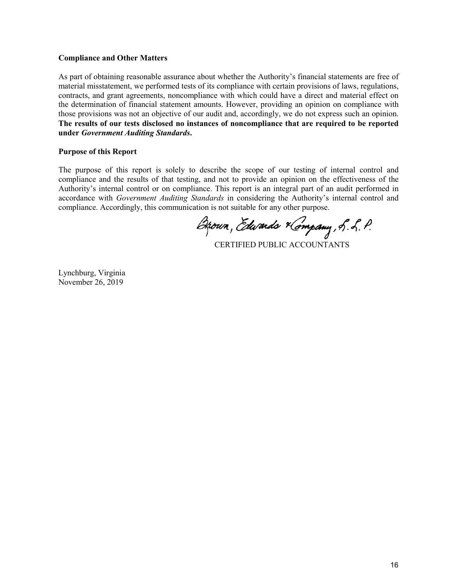#### **Compliance and Other Matters**

As part of obtaining reasonable assurance about whether the Authority's financial statements are free of material misstatement, we performed tests of its compliance with certain provisions of laws, regulations, contracts, and grant agreements, noncompliance with which could have a direct and material effect on the determination of financial statement amounts. However, providing an opinion on compliance with those provisions was not an objective of our audit and, accordingly, we do not express such an opinion. **The results of our tests disclosed no instances of noncompliance that are required to be reported under** *Government Auditing Standards***.** 

#### **Purpose of this Report**

The purpose of this report is solely to describe the scope of our testing of internal control and compliance and the results of that testing, and not to provide an opinion on the effectiveness of the Authority's internal control or on compliance. This report is an integral part of an audit performed in accordance with *Government Auditing Standards* in considering the Authority's internal control and compliance. Accordingly, this communication is not suitable for any other purpose.

Brown, Edwards & Company, S. L. P.

CERTIFIED PUBLIC ACCOUNTANTS

Lynchburg, Virginia November 26, 2019